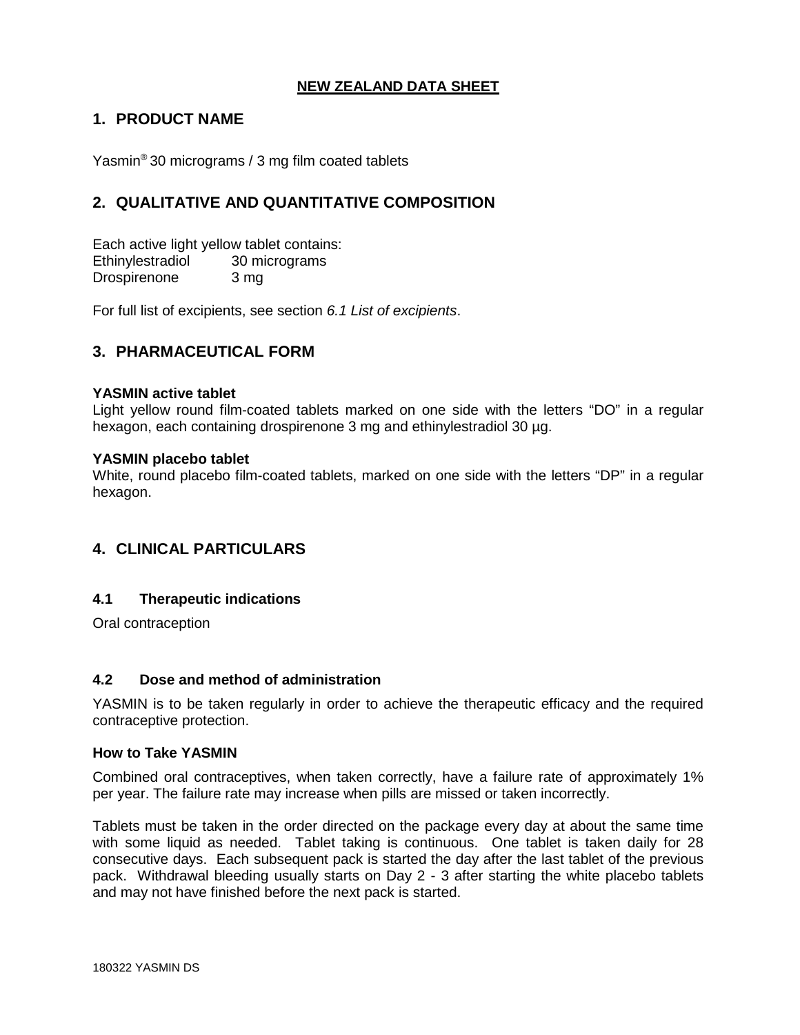## **NEW ZEALAND DATA SHEET**

# **1. PRODUCT NAME**

Yasmin® 30 micrograms / 3 mg film coated tablets

# **2. QUALITATIVE AND QUANTITATIVE COMPOSITION**

Each active light yellow tablet contains:<br>Ethinvlestradiol 30 micrograms 30 micrograms Drospirenone 3 mg

For full list of excipients, see section *6.1 List of excipients*.

# **3. PHARMACEUTICAL FORM**

### **YASMIN active tablet**

Light yellow round film-coated tablets marked on one side with the letters "DO" in a regular hexagon, each containing drospirenone 3 mg and ethinylestradiol 30 µg.

#### **YASMIN placebo tablet**

White, round placebo film-coated tablets, marked on one side with the letters "DP" in a regular hexagon.

## **4. CLINICAL PARTICULARS**

### **4.1 Therapeutic indications**

Oral contraception

### **4.2 Dose and method of administration**

YASMIN is to be taken regularly in order to achieve the therapeutic efficacy and the required contraceptive protection.

#### **How to Take YASMIN**

Combined oral contraceptives, when taken correctly, have a failure rate of approximately 1% per year. The failure rate may increase when pills are missed or taken incorrectly.

Tablets must be taken in the order directed on the package every day at about the same time with some liquid as needed. Tablet taking is continuous. One tablet is taken daily for 28 consecutive days. Each subsequent pack is started the day after the last tablet of the previous pack. Withdrawal bleeding usually starts on Day 2 - 3 after starting the white placebo tablets and may not have finished before the next pack is started.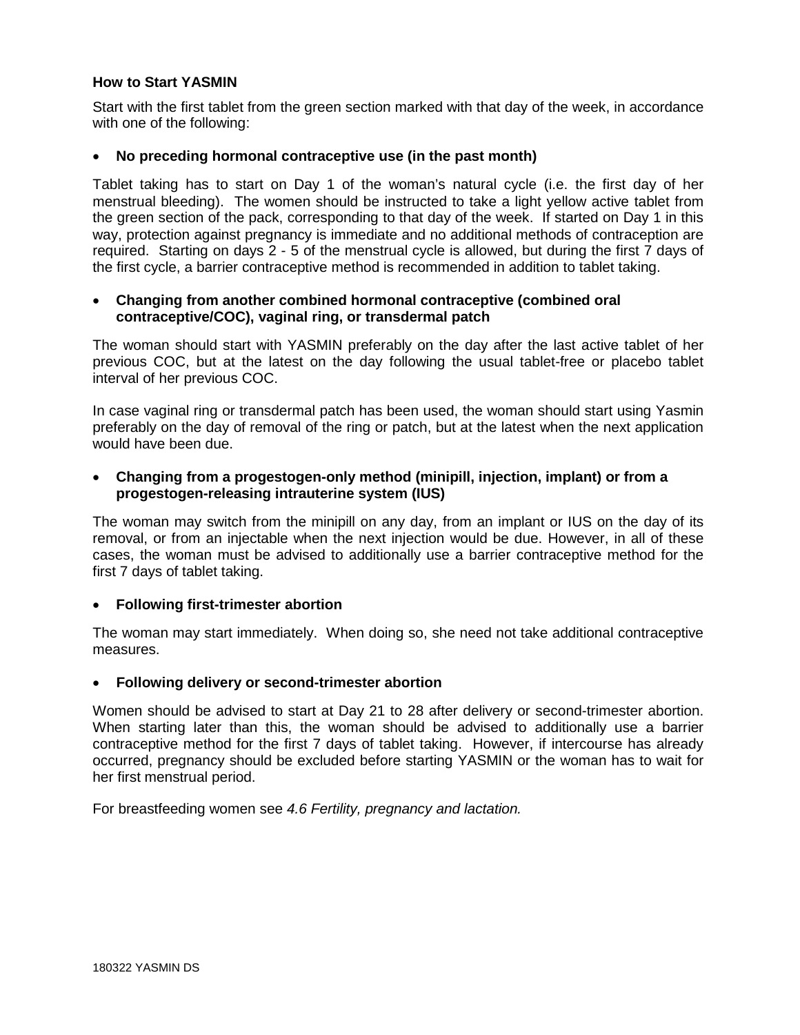## **How to Start YASMIN**

Start with the first tablet from the green section marked with that day of the week, in accordance with one of the following:

### • **No preceding hormonal contraceptive use (in the past month)**

Tablet taking has to start on Day 1 of the woman's natural cycle (i.e. the first day of her menstrual bleeding). The women should be instructed to take a light yellow active tablet from the green section of the pack, corresponding to that day of the week. If started on Day 1 in this way, protection against pregnancy is immediate and no additional methods of contraception are required. Starting on days 2 - 5 of the menstrual cycle is allowed, but during the first 7 days of the first cycle, a barrier contraceptive method is recommended in addition to tablet taking.

### • **Changing from another combined hormonal contraceptive (combined oral contraceptive/COC), vaginal ring, or transdermal patch**

The woman should start with YASMIN preferably on the day after the last active tablet of her previous COC, but at the latest on the day following the usual tablet-free or placebo tablet interval of her previous COC.

In case vaginal ring or transdermal patch has been used, the woman should start using Yasmin preferably on the day of removal of the ring or patch, but at the latest when the next application would have been due.

### • **Changing from a progestogen-only method (minipill, injection, implant) or from a progestogen-releasing intrauterine system (IUS)**

The woman may switch from the minipill on any day, from an implant or IUS on the day of its removal, or from an injectable when the next injection would be due. However, in all of these cases, the woman must be advised to additionally use a barrier contraceptive method for the first 7 days of tablet taking.

### • **Following first-trimester abortion**

The woman may start immediately. When doing so, she need not take additional contraceptive measures.

### • **Following delivery or second-trimester abortion**

Women should be advised to start at Day 21 to 28 after delivery or second-trimester abortion. When starting later than this, the woman should be advised to additionally use a barrier contraceptive method for the first 7 days of tablet taking. However, if intercourse has already occurred, pregnancy should be excluded before starting YASMIN or the woman has to wait for her first menstrual period.

For breastfeeding women see *4.6 Fertility, pregnancy and lactation.*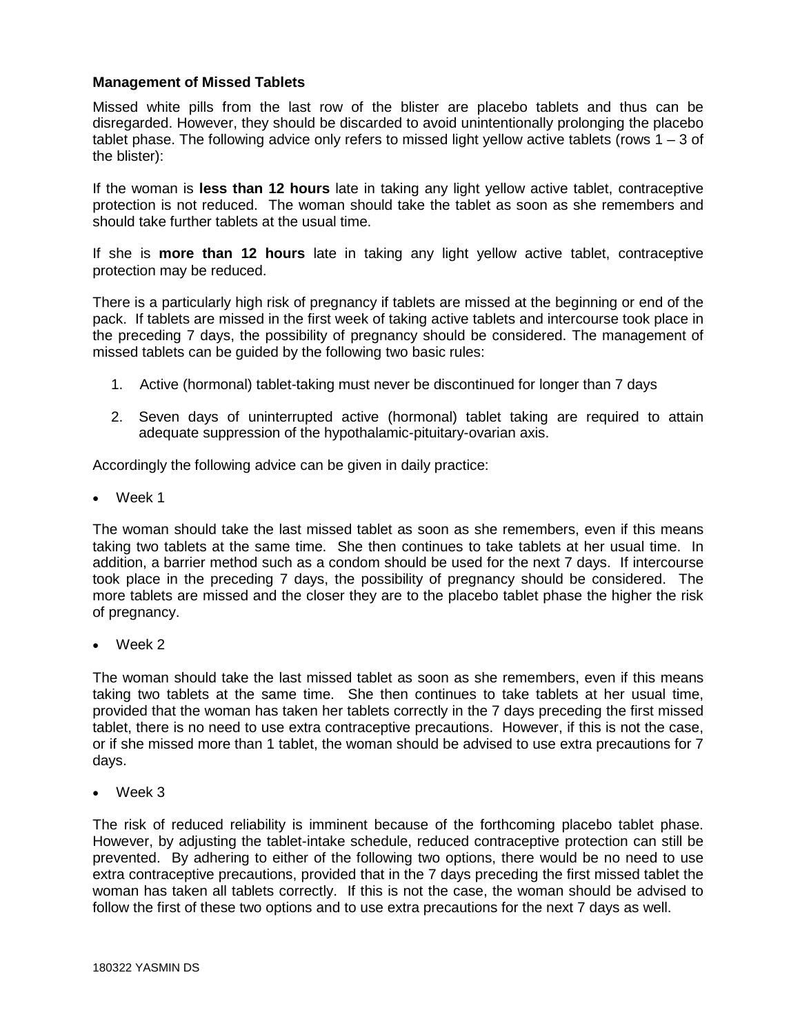### **Management of Missed Tablets**

Missed white pills from the last row of the blister are placebo tablets and thus can be disregarded. However, they should be discarded to avoid unintentionally prolonging the placebo tablet phase. The following advice only refers to missed light yellow active tablets (rows 1 – 3 of the blister):

If the woman is **less than 12 hours** late in taking any light yellow active tablet, contraceptive protection is not reduced. The woman should take the tablet as soon as she remembers and should take further tablets at the usual time.

If she is **more than 12 hours** late in taking any light yellow active tablet, contraceptive protection may be reduced.

There is a particularly high risk of pregnancy if tablets are missed at the beginning or end of the pack. If tablets are missed in the first week of taking active tablets and intercourse took place in the preceding 7 days, the possibility of pregnancy should be considered. The management of missed tablets can be guided by the following two basic rules:

- 1. Active (hormonal) tablet-taking must never be discontinued for longer than 7 days
- 2. Seven days of uninterrupted active (hormonal) tablet taking are required to attain adequate suppression of the hypothalamic-pituitary-ovarian axis.

Accordingly the following advice can be given in daily practice:

• Week 1

The woman should take the last missed tablet as soon as she remembers, even if this means taking two tablets at the same time. She then continues to take tablets at her usual time. In addition, a barrier method such as a condom should be used for the next 7 days. If intercourse took place in the preceding 7 days, the possibility of pregnancy should be considered. The more tablets are missed and the closer they are to the placebo tablet phase the higher the risk of pregnancy.

Week 2

The woman should take the last missed tablet as soon as she remembers, even if this means taking two tablets at the same time. She then continues to take tablets at her usual time, provided that the woman has taken her tablets correctly in the 7 days preceding the first missed tablet, there is no need to use extra contraceptive precautions. However, if this is not the case, or if she missed more than 1 tablet, the woman should be advised to use extra precautions for 7 days.

• Week 3

The risk of reduced reliability is imminent because of the forthcoming placebo tablet phase. However, by adjusting the tablet-intake schedule, reduced contraceptive protection can still be prevented. By adhering to either of the following two options, there would be no need to use extra contraceptive precautions, provided that in the 7 days preceding the first missed tablet the woman has taken all tablets correctly. If this is not the case, the woman should be advised to follow the first of these two options and to use extra precautions for the next 7 days as well.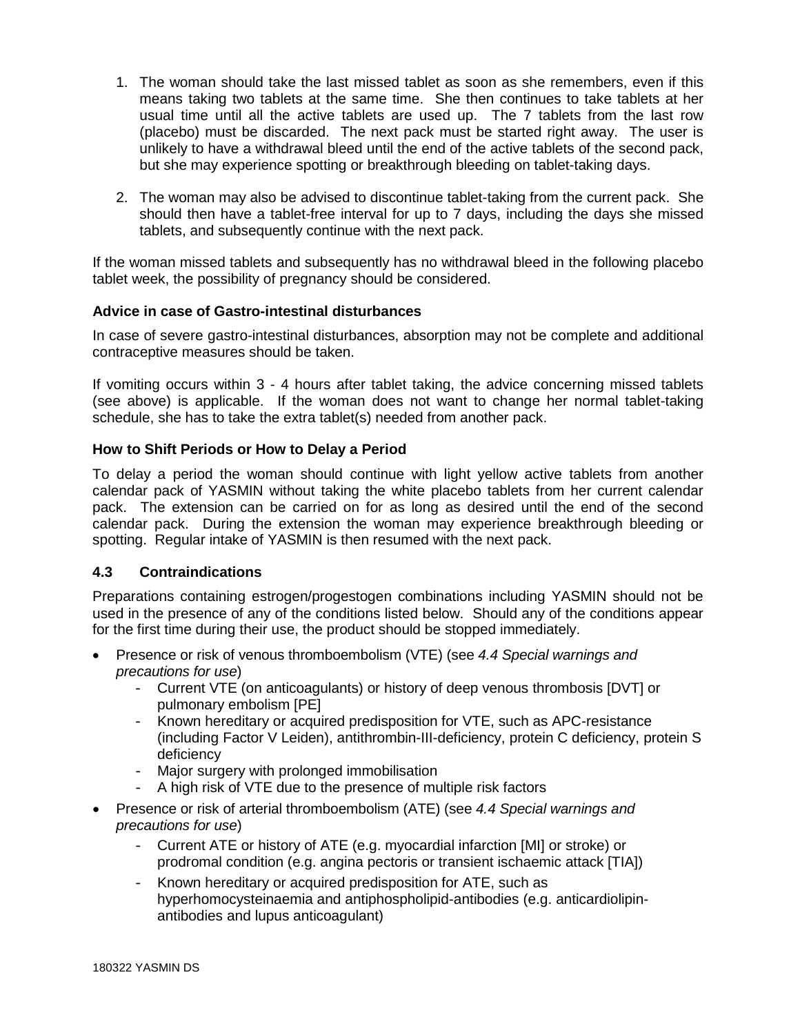- 1. The woman should take the last missed tablet as soon as she remembers, even if this means taking two tablets at the same time. She then continues to take tablets at her usual time until all the active tablets are used up. The 7 tablets from the last row (placebo) must be discarded. The next pack must be started right away. The user is unlikely to have a withdrawal bleed until the end of the active tablets of the second pack, but she may experience spotting or breakthrough bleeding on tablet-taking days.
- 2. The woman may also be advised to discontinue tablet-taking from the current pack. She should then have a tablet-free interval for up to 7 days, including the days she missed tablets, and subsequently continue with the next pack.

If the woman missed tablets and subsequently has no withdrawal bleed in the following placebo tablet week, the possibility of pregnancy should be considered.

## **Advice in case of Gastro-intestinal disturbances**

In case of severe gastro-intestinal disturbances, absorption may not be complete and additional contraceptive measures should be taken.

If vomiting occurs within 3 - 4 hours after tablet taking, the advice concerning missed tablets (see above) is applicable. If the woman does not want to change her normal tablet-taking schedule, she has to take the extra tablet(s) needed from another pack.

## **How to Shift Periods or How to Delay a Period**

To delay a period the woman should continue with light yellow active tablets from another calendar pack of YASMIN without taking the white placebo tablets from her current calendar pack. The extension can be carried on for as long as desired until the end of the second calendar pack. During the extension the woman may experience breakthrough bleeding or spotting. Regular intake of YASMIN is then resumed with the next pack.

### **4.3 Contraindications**

Preparations containing estrogen/progestogen combinations including YASMIN should not be used in the presence of any of the conditions listed below. Should any of the conditions appear for the first time during their use, the product should be stopped immediately.

- Presence or risk of venous thromboembolism (VTE) (see *4.4 Special warnings and precautions for use*)
	- Current VTE (on anticoagulants) or history of deep venous thrombosis [DVT] or pulmonary embolism [PE]
	- Known hereditary or acquired predisposition for VTE, such as APC-resistance (including Factor V Leiden), antithrombin-III-deficiency, protein C deficiency, protein S deficiency
	- Major surgery with prolonged immobilisation
	- A high risk of VTE due to the presence of multiple risk factors
- Presence or risk of arterial thromboembolism (ATE) (see *4.4 Special warnings and precautions for use*)
	- Current ATE or history of ATE (e.g. myocardial infarction [MI] or stroke) or prodromal condition (e.g. angina pectoris or transient ischaemic attack [TIA])
	- Known hereditary or acquired predisposition for ATE, such as hyperhomocysteinaemia and antiphospholipid-antibodies (e.g. anticardiolipinantibodies and lupus anticoagulant)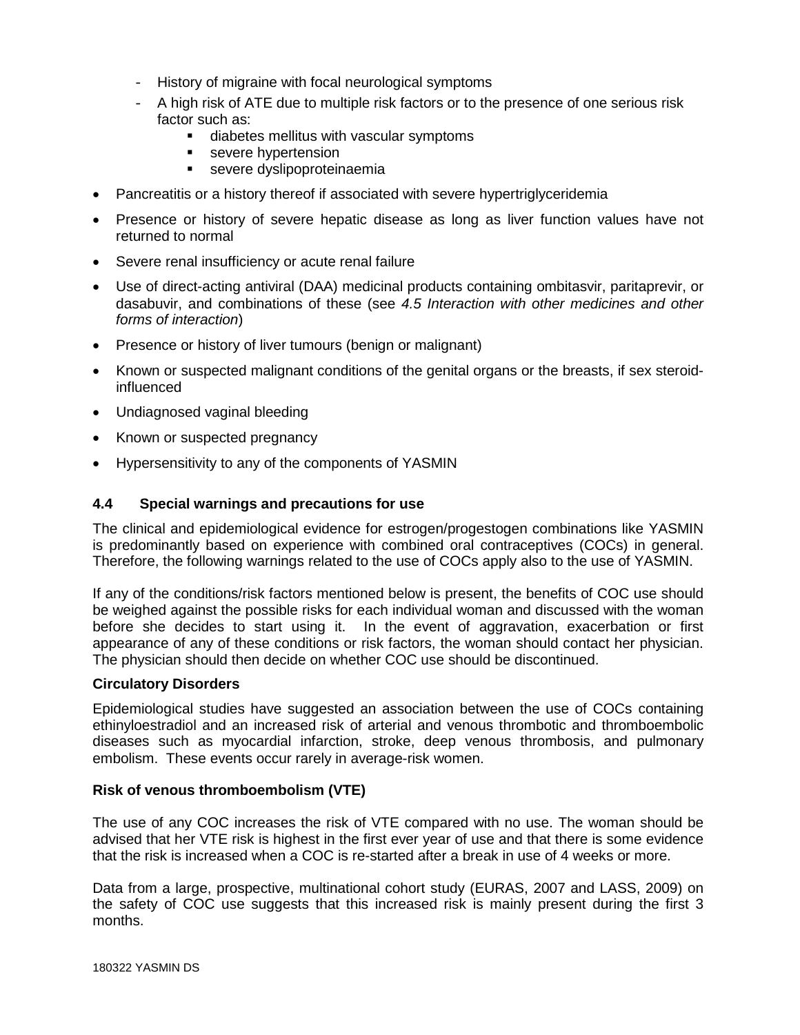- History of migraine with focal neurological symptoms
- A high risk of ATE due to multiple risk factors or to the presence of one serious risk factor such as:
	- diabetes mellitus with vascular symptoms
	- **severe hypertension**
	- **severe dyslipoproteinaemia**
- Pancreatitis or a history thereof if associated with severe hypertriglyceridemia
- Presence or history of severe hepatic disease as long as liver function values have not returned to normal
- Severe renal insufficiency or acute renal failure
- Use of direct-acting antiviral (DAA) medicinal products containing ombitasvir, paritaprevir, or dasabuvir, and combinations of these (see *4.5 Interaction with other medicines and other forms of interaction*)
- Presence or history of liver tumours (benign or malignant)
- Known or suspected malignant conditions of the genital organs or the breasts, if sex steroidinfluenced
- Undiagnosed vaginal bleeding
- Known or suspected pregnancy
- Hypersensitivity to any of the components of YASMIN

## **4.4 Special warnings and precautions for use**

The clinical and epidemiological evidence for estrogen/progestogen combinations like YASMIN is predominantly based on experience with combined oral contraceptives (COCs) in general. Therefore, the following warnings related to the use of COCs apply also to the use of YASMIN.

If any of the conditions/risk factors mentioned below is present, the benefits of COC use should be weighed against the possible risks for each individual woman and discussed with the woman before she decides to start using it. In the event of aggravation, exacerbation or first appearance of any of these conditions or risk factors, the woman should contact her physician. The physician should then decide on whether COC use should be discontinued.

### **Circulatory Disorders**

Epidemiological studies have suggested an association between the use of COCs containing ethinyloestradiol and an increased risk of arterial and venous thrombotic and thromboembolic diseases such as myocardial infarction, stroke, deep venous thrombosis, and pulmonary embolism. These events occur rarely in average-risk women.

### **Risk of venous thromboembolism (VTE)**

The use of any COC increases the risk of VTE compared with no use. The woman should be advised that her VTE risk is highest in the first ever year of use and that there is some evidence that the risk is increased when a COC is re-started after a break in use of 4 weeks or more.

Data from a large, prospective, multinational cohort study (EURAS, 2007 and LASS, 2009) on the safety of COC use suggests that this increased risk is mainly present during the first 3 months.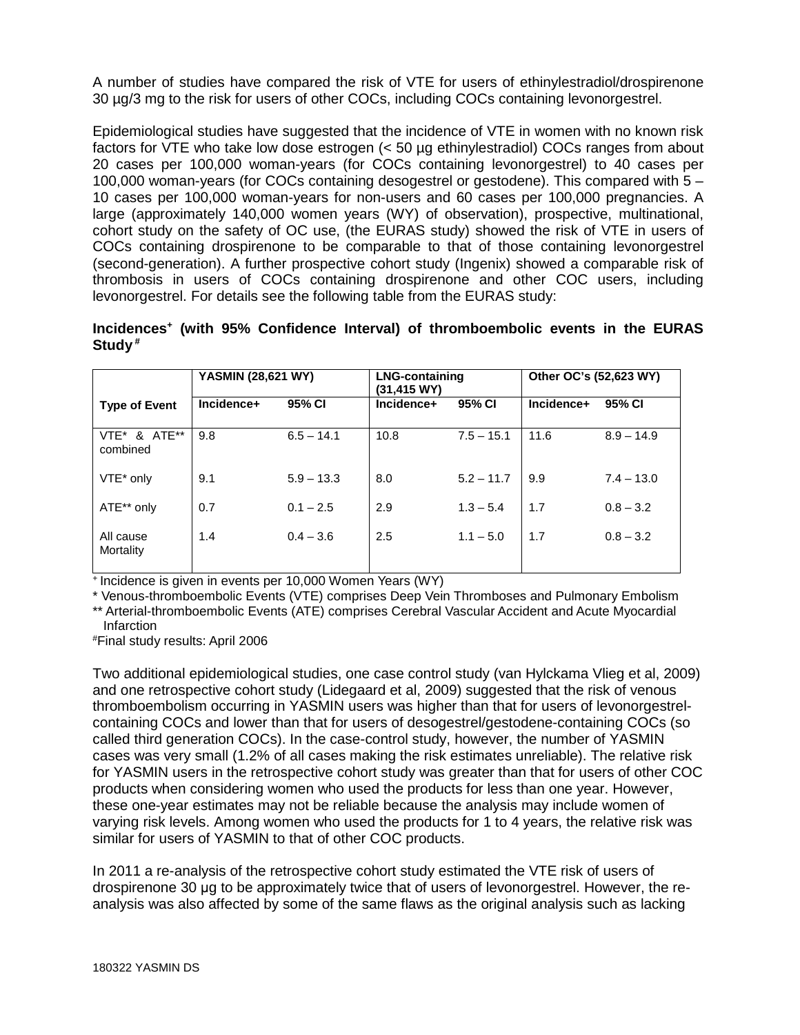A number of studies have compared the risk of VTE for users of ethinylestradiol/drospirenone 30 µg/3 mg to the risk for users of other COCs, including COCs containing levonorgestrel.

Epidemiological studies have suggested that the incidence of VTE in women with no known risk factors for VTE who take low dose estrogen (< 50 µg ethinylestradiol) COCs ranges from about 20 cases per 100,000 woman-years (for COCs containing levonorgestrel) to 40 cases per 100,000 woman-years (for COCs containing desogestrel or gestodene). This compared with 5 – 10 cases per 100,000 woman-years for non-users and 60 cases per 100,000 pregnancies. A large (approximately 140,000 women years (WY) of observation), prospective, multinational, cohort study on the safety of OC use, (the EURAS study) showed the risk of VTE in users of COCs containing drospirenone to be comparable to that of those containing levonorgestrel (second-generation). A further prospective cohort study (Ingenix) showed a comparable risk of thrombosis in users of COCs containing drospirenone and other COC users, including levonorgestrel. For details see the following table from the EURAS study:

**Incidences+ (with 95% Confidence Interval) of thromboembolic events in the EURAS Study #**

|                          | <b>YASMIN (28,621 WY)</b> |              | <b>LNG-containing</b><br>(31,415 WY) |              | Other OC's (52,623 WY) |              |
|--------------------------|---------------------------|--------------|--------------------------------------|--------------|------------------------|--------------|
| <b>Type of Event</b>     | Incidence+                | 95% CI       | Incidence+                           | 95% CI       | Incidence+             | 95% CI       |
| VTE* & ATE**<br>combined | 9.8                       | $6.5 - 14.1$ | 10.8                                 | $7.5 - 15.1$ | 11.6                   | $8.9 - 14.9$ |
| VTE* only                | 9.1                       | $5.9 - 13.3$ | 8.0                                  | $5.2 - 11.7$ | 9.9                    | $7.4 - 13.0$ |
| ATE** only               | 0.7                       | $0.1 - 2.5$  | 2.9                                  | $1.3 - 5.4$  | 1.7                    | $0.8 - 3.2$  |
| All cause<br>Mortality   | 1.4                       | $0.4 - 3.6$  | 2.5                                  | $1.1 - 5.0$  | 1.7                    | $0.8 - 3.2$  |

+ Incidence is given in events per 10,000 Women Years (WY)

\* Venous-thromboembolic Events (VTE) comprises Deep Vein Thromboses and Pulmonary Embolism \*\* Arterial-thromboembolic Events (ATE) comprises Cerebral Vascular Accident and Acute Myocardial **Infarction** 

#Final study results: April 2006

Two additional epidemiological studies, one case control study (van Hylckama Vlieg et al, 2009) and one retrospective cohort study (Lidegaard et al, 2009) suggested that the risk of venous thromboembolism occurring in YASMIN users was higher than that for users of levonorgestrelcontaining COCs and lower than that for users of desogestrel/gestodene-containing COCs (so called third generation COCs). In the case-control study, however, the number of YASMIN cases was very small (1.2% of all cases making the risk estimates unreliable). The relative risk for YASMIN users in the retrospective cohort study was greater than that for users of other COC products when considering women who used the products for less than one year. However, these one-year estimates may not be reliable because the analysis may include women of varying risk levels. Among women who used the products for 1 to 4 years, the relative risk was similar for users of YASMIN to that of other COC products.

In 2011 a re-analysis of the retrospective cohort study estimated the VTE risk of users of drospirenone 30 μg to be approximately twice that of users of levonorgestrel. However, the reanalysis was also affected by some of the same flaws as the original analysis such as lacking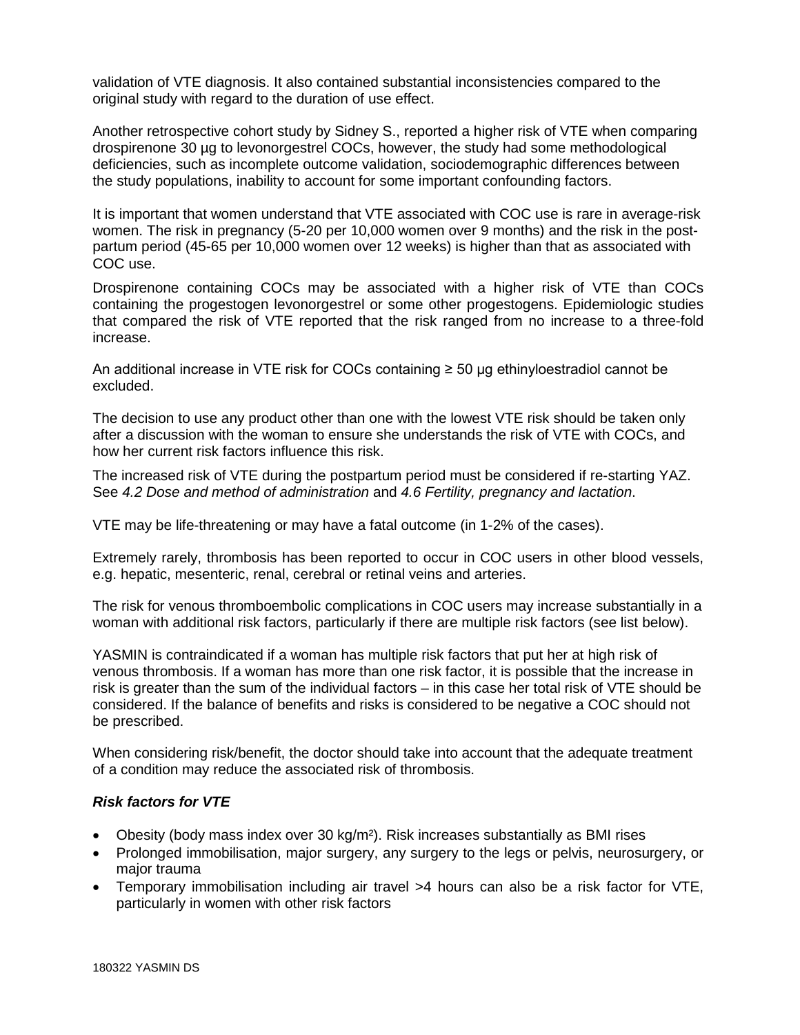validation of VTE diagnosis. It also contained substantial inconsistencies compared to the original study with regard to the duration of use effect.

Another retrospective cohort study by Sidney S., reported a higher risk of VTE when comparing drospirenone 30 µg to levonorgestrel COCs, however, the study had some methodological deficiencies, such as incomplete outcome validation, sociodemographic differences between the study populations, inability to account for some important confounding factors.

It is important that women understand that VTE associated with COC use is rare in average-risk women. The risk in pregnancy (5-20 per 10,000 women over 9 months) and the risk in the postpartum period (45-65 per 10,000 women over 12 weeks) is higher than that as associated with COC use.

Drospirenone containing COCs may be associated with a higher risk of VTE than COCs containing the progestogen levonorgestrel or some other progestogens. Epidemiologic studies that compared the risk of VTE reported that the risk ranged from no increase to a three-fold increase.

An additional increase in VTE risk for COCs containing  $\geq$  50 µg ethinyloestradiol cannot be excluded.

The decision to use any product other than one with the lowest VTE risk should be taken only after a discussion with the woman to ensure she understands the risk of VTE with COCs, and how her current risk factors influence this risk.

The increased risk of VTE during the postpartum period must be considered if re-starting YAZ. See *4.2 Dose and method of administration* and *4.6 Fertility, pregnancy and lactation*.

VTE may be life-threatening or may have a fatal outcome (in 1-2% of the cases).

Extremely rarely, thrombosis has been reported to occur in COC users in other blood vessels, e.g. hepatic, mesenteric, renal, cerebral or retinal veins and arteries.

The risk for venous thromboembolic complications in COC users may increase substantially in a woman with additional risk factors, particularly if there are multiple risk factors (see list below).

YASMIN is contraindicated if a woman has multiple risk factors that put her at high risk of venous thrombosis. If a woman has more than one risk factor, it is possible that the increase in risk is greater than the sum of the individual factors – in this case her total risk of VTE should be considered. If the balance of benefits and risks is considered to be negative a COC should not be prescribed.

When considering risk/benefit, the doctor should take into account that the adequate treatment of a condition may reduce the associated risk of thrombosis.

### *Risk factors for VTE*

- Obesity (body mass index over 30 kg/m²). Risk increases substantially as BMI rises
- Prolonged immobilisation, major surgery, any surgery to the legs or pelvis, neurosurgery, or major trauma
- Temporary immobilisation including air travel >4 hours can also be a risk factor for VTE, particularly in women with other risk factors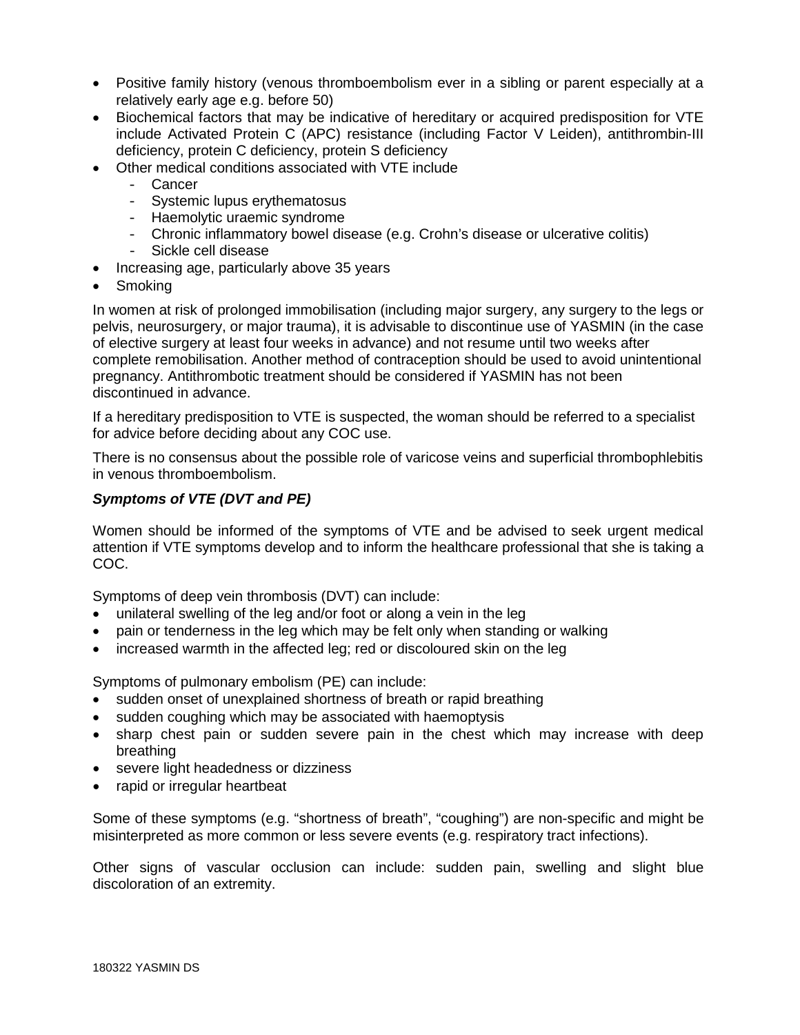- Positive family history (venous thromboembolism ever in a sibling or parent especially at a relatively early age e.g. before 50)
- Biochemical factors that may be indicative of hereditary or acquired predisposition for VTE include Activated Protein C (APC) resistance (including Factor V Leiden), antithrombin-III deficiency, protein C deficiency, protein S deficiency
- Other medical conditions associated with VTE include
	- Cancer
	- Systemic lupus erythematosus
	- Haemolytic uraemic syndrome
	- Chronic inflammatory bowel disease (e.g. Crohn's disease or ulcerative colitis)
	- Sickle cell disease
- Increasing age, particularly above 35 years
- **Smoking**

In women at risk of prolonged immobilisation (including major surgery, any surgery to the legs or pelvis, neurosurgery, or major trauma), it is advisable to discontinue use of YASMIN (in the case of elective surgery at least four weeks in advance) and not resume until two weeks after complete remobilisation. Another method of contraception should be used to avoid unintentional pregnancy. Antithrombotic treatment should be considered if YASMIN has not been discontinued in advance.

If a hereditary predisposition to VTE is suspected, the woman should be referred to a specialist for advice before deciding about any COC use.

There is no consensus about the possible role of varicose veins and superficial thrombophlebitis in venous thromboembolism.

## *Symptoms of VTE (DVT and PE)*

Women should be informed of the symptoms of VTE and be advised to seek urgent medical attention if VTE symptoms develop and to inform the healthcare professional that she is taking a COC.

Symptoms of deep vein thrombosis (DVT) can include:

- unilateral swelling of the leg and/or foot or along a vein in the leg
- pain or tenderness in the leg which may be felt only when standing or walking
- increased warmth in the affected leg: red or discoloured skin on the leg

Symptoms of pulmonary embolism (PE) can include:

- sudden onset of unexplained shortness of breath or rapid breathing
- sudden coughing which may be associated with haemoptysis
- sharp chest pain or sudden severe pain in the chest which may increase with deep breathing
- severe light headedness or dizziness
- rapid or irregular heartbeat

Some of these symptoms (e.g. "shortness of breath", "coughing") are non-specific and might be misinterpreted as more common or less severe events (e.g. respiratory tract infections).

Other signs of vascular occlusion can include: sudden pain, swelling and slight blue discoloration of an extremity.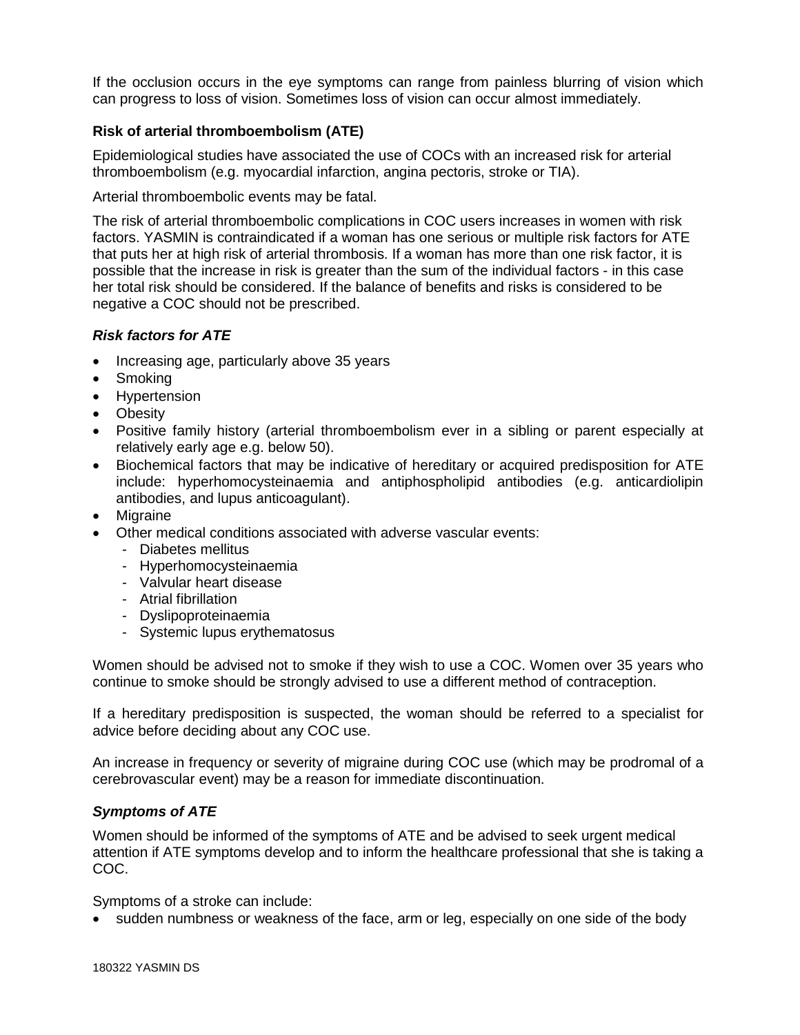If the occlusion occurs in the eye symptoms can range from painless blurring of vision which can progress to loss of vision. Sometimes loss of vision can occur almost immediately.

## **Risk of arterial thromboembolism (ATE)**

Epidemiological studies have associated the use of COCs with an increased risk for arterial thromboembolism (e.g. myocardial infarction, angina pectoris, stroke or TIA).

Arterial thromboembolic events may be fatal.

The risk of arterial thromboembolic complications in COC users increases in women with risk factors. YASMIN is contraindicated if a woman has one serious or multiple risk factors for ATE that puts her at high risk of arterial thrombosis. If a woman has more than one risk factor, it is possible that the increase in risk is greater than the sum of the individual factors - in this case her total risk should be considered. If the balance of benefits and risks is considered to be negative a COC should not be prescribed.

## *Risk factors for ATE*

- Increasing age, particularly above 35 years
- Smoking
- Hypertension
- Obesity
- Positive family history (arterial thromboembolism ever in a sibling or parent especially at relatively early age e.g. below 50).
- Biochemical factors that may be indicative of hereditary or acquired predisposition for ATE include: hyperhomocysteinaemia and antiphospholipid antibodies (e.g. anticardiolipin antibodies, and lupus anticoagulant).
- **Migraine**
- Other medical conditions associated with adverse vascular events:
	- Diabetes mellitus
	- Hyperhomocysteinaemia
	- Valvular heart disease
	- Atrial fibrillation
	- Dyslipoproteinaemia
	- Systemic lupus erythematosus

Women should be advised not to smoke if they wish to use a COC. Women over 35 years who continue to smoke should be strongly advised to use a different method of contraception.

If a hereditary predisposition is suspected, the woman should be referred to a specialist for advice before deciding about any COC use.

An increase in frequency or severity of migraine during COC use (which may be prodromal of a cerebrovascular event) may be a reason for immediate discontinuation.

## *Symptoms of ATE*

Women should be informed of the symptoms of ATE and be advised to seek urgent medical attention if ATE symptoms develop and to inform the healthcare professional that she is taking a COC.

Symptoms of a stroke can include:

• sudden numbness or weakness of the face, arm or leg, especially on one side of the body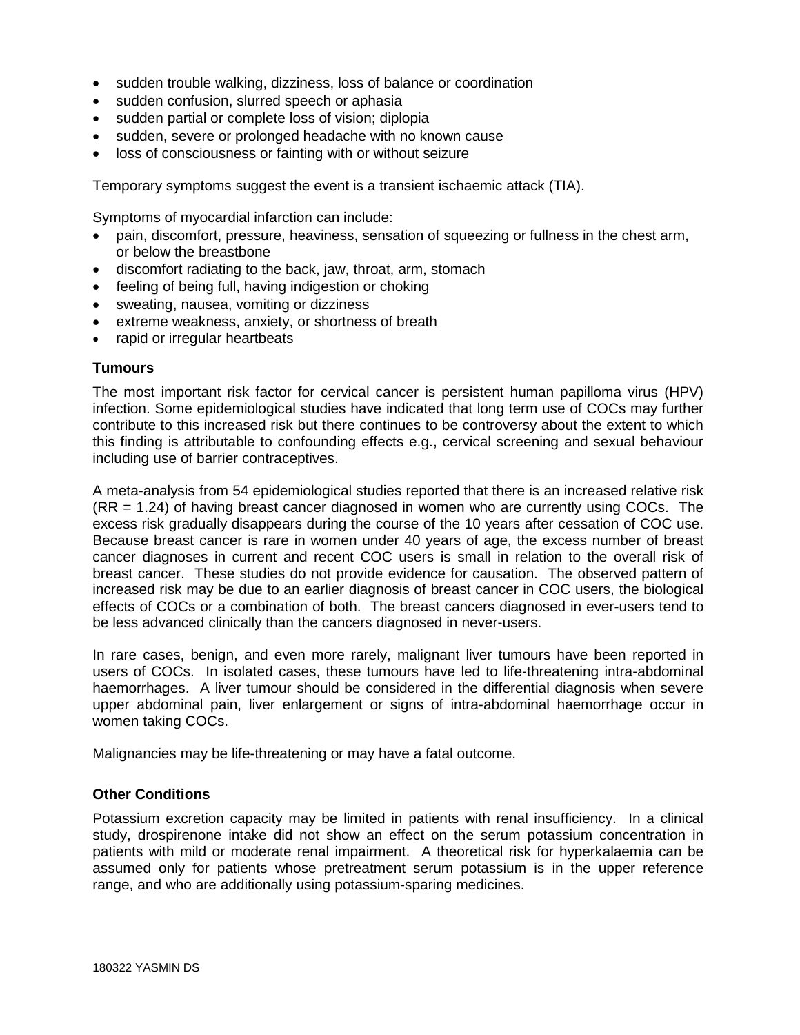- sudden trouble walking, dizziness, loss of balance or coordination
- sudden confusion, slurred speech or aphasia
- sudden partial or complete loss of vision; diplopia
- sudden, severe or prolonged headache with no known cause
- loss of consciousness or fainting with or without seizure

Temporary symptoms suggest the event is a transient ischaemic attack (TIA).

Symptoms of myocardial infarction can include:

- pain, discomfort, pressure, heaviness, sensation of squeezing or fullness in the chest arm, or below the breastbone
- discomfort radiating to the back, jaw, throat, arm, stomach
- feeling of being full, having indigestion or choking
- sweating, nausea, vomiting or dizziness
- extreme weakness, anxiety, or shortness of breath
- rapid or irregular heartbeats

### **Tumours**

The most important risk factor for cervical cancer is persistent human papilloma virus (HPV) infection. Some epidemiological studies have indicated that long term use of COCs may further contribute to this increased risk but there continues to be controversy about the extent to which this finding is attributable to confounding effects e.g., cervical screening and sexual behaviour including use of barrier contraceptives.

A meta-analysis from 54 epidemiological studies reported that there is an increased relative risk (RR = 1.24) of having breast cancer diagnosed in women who are currently using COCs. The excess risk gradually disappears during the course of the 10 years after cessation of COC use. Because breast cancer is rare in women under 40 years of age, the excess number of breast cancer diagnoses in current and recent COC users is small in relation to the overall risk of breast cancer. These studies do not provide evidence for causation. The observed pattern of increased risk may be due to an earlier diagnosis of breast cancer in COC users, the biological effects of COCs or a combination of both. The breast cancers diagnosed in ever-users tend to be less advanced clinically than the cancers diagnosed in never-users.

In rare cases, benign, and even more rarely, malignant liver tumours have been reported in users of COCs. In isolated cases, these tumours have led to life-threatening intra-abdominal haemorrhages. A liver tumour should be considered in the differential diagnosis when severe upper abdominal pain, liver enlargement or signs of intra-abdominal haemorrhage occur in women taking COCs.

Malignancies may be life-threatening or may have a fatal outcome.

### **Other Conditions**

Potassium excretion capacity may be limited in patients with renal insufficiency. In a clinical study, drospirenone intake did not show an effect on the serum potassium concentration in patients with mild or moderate renal impairment. A theoretical risk for hyperkalaemia can be assumed only for patients whose pretreatment serum potassium is in the upper reference range, and who are additionally using potassium-sparing medicines.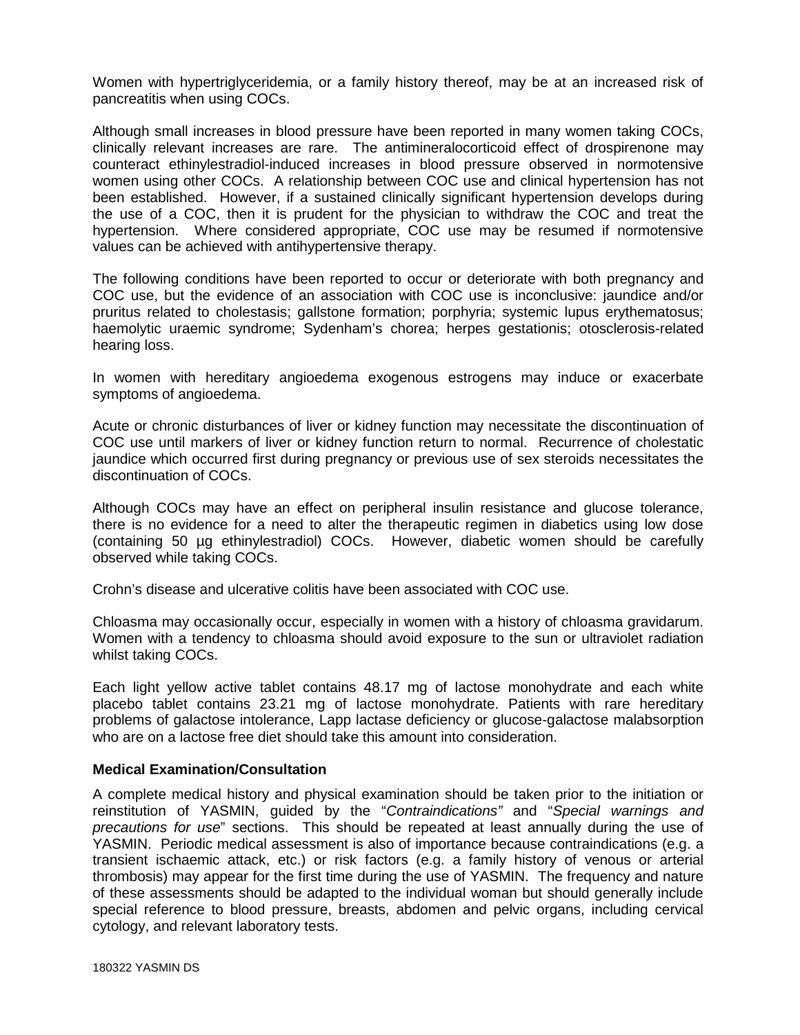Women with hypertriglyceridemia, or a family history thereof, may be at an increased risk of pancreatitis when using COCs.

Although small increases in blood pressure have been reported in many women taking COCs, clinically relevant increases are rare. The antimineralocorticoid effect of drospirenone may counteract ethinylestradiol-induced increases in blood pressure observed in normotensive women using other COCs. A relationship between COC use and clinical hypertension has not been established. However, if a sustained clinically significant hypertension develops during the use of a COC, then it is prudent for the physician to withdraw the COC and treat the hypertension. Where considered appropriate, COC use may be resumed if normotensive values can be achieved with antihypertensive therapy.

The following conditions have been reported to occur or deteriorate with both pregnancy and COC use, but the evidence of an association with COC use is inconclusive: jaundice and/or pruritus related to cholestasis; gallstone formation; porphyria; systemic lupus erythematosus; haemolytic uraemic syndrome; Sydenham's chorea; herpes gestationis; otosclerosis-related hearing loss.

In women with hereditary angioedema exogenous estrogens may induce or exacerbate symptoms of angioedema.

Acute or chronic disturbances of liver or kidney function may necessitate the discontinuation of COC use until markers of liver or kidney function return to normal. Recurrence of cholestatic jaundice which occurred first during pregnancy or previous use of sex steroids necessitates the discontinuation of COCs.

Although COCs may have an effect on peripheral insulin resistance and glucose tolerance, there is no evidence for a need to alter the therapeutic regimen in diabetics using low dose (containing 50 µg ethinylestradiol) COCs. However, diabetic women should be carefully observed while taking COCs.

Crohn's disease and ulcerative colitis have been associated with COC use.

Chloasma may occasionally occur, especially in women with a history of chloasma gravidarum. Women with a tendency to chloasma should avoid exposure to the sun or ultraviolet radiation whilst taking COCs.

Each light yellow active tablet contains 48.17 mg of lactose monohydrate and each white placebo tablet contains 23.21 mg of lactose monohydrate. Patients with rare hereditary problems of galactose intolerance, Lapp lactase deficiency or glucose-galactose malabsorption who are on a lactose free diet should take this amount into consideration.

### **Medical Examination/Consultation**

A complete medical history and physical examination should be taken prior to the initiation or reinstitution of YASMIN, guided by the "*Contraindications"* and "*Special warnings and precautions for use*" sections. This should be repeated at least annually during the use of YASMIN. Periodic medical assessment is also of importance because contraindications (e.g. a transient ischaemic attack, etc.) or risk factors (e.g. a family history of venous or arterial thrombosis) may appear for the first time during the use of YASMIN. The frequency and nature of these assessments should be adapted to the individual woman but should generally include special reference to blood pressure, breasts, abdomen and pelvic organs, including cervical cytology, and relevant laboratory tests.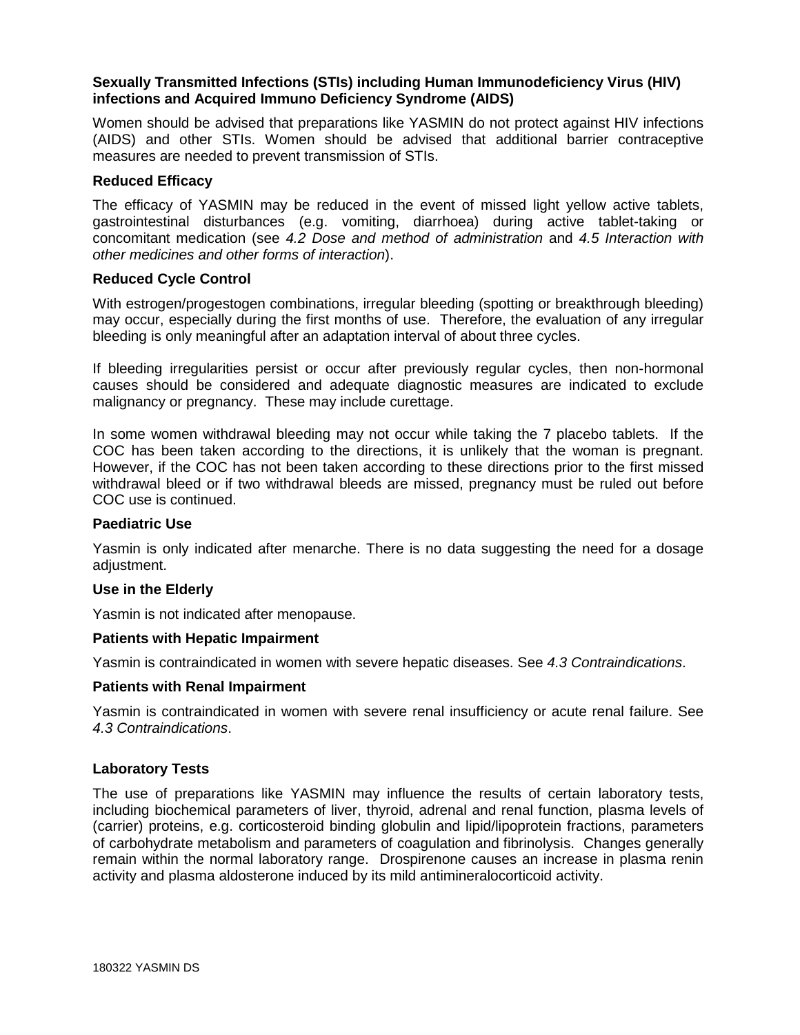### **Sexually Transmitted Infections (STIs) including Human Immunodeficiency Virus (HIV) infections and Acquired Immuno Deficiency Syndrome (AIDS)**

Women should be advised that preparations like YASMIN do not protect against HIV infections (AIDS) and other STIs. Women should be advised that additional barrier contraceptive measures are needed to prevent transmission of STIs.

### **Reduced Efficacy**

The efficacy of YASMIN may be reduced in the event of missed light yellow active tablets, gastrointestinal disturbances (e.g. vomiting, diarrhoea) during active tablet-taking or concomitant medication (see *4.2 Dose and method of administration* and *4.5 Interaction with other medicines and other forms of interaction*).

### **Reduced Cycle Control**

With estrogen/progestogen combinations, irregular bleeding (spotting or breakthrough bleeding) may occur, especially during the first months of use. Therefore, the evaluation of any irregular bleeding is only meaningful after an adaptation interval of about three cycles.

If bleeding irregularities persist or occur after previously regular cycles, then non-hormonal causes should be considered and adequate diagnostic measures are indicated to exclude malignancy or pregnancy. These may include curettage.

In some women withdrawal bleeding may not occur while taking the 7 placebo tablets. If the COC has been taken according to the directions, it is unlikely that the woman is pregnant. However, if the COC has not been taken according to these directions prior to the first missed withdrawal bleed or if two withdrawal bleeds are missed, pregnancy must be ruled out before COC use is continued.

### **Paediatric Use**

Yasmin is only indicated after menarche. There is no data suggesting the need for a dosage adiustment.

### **Use in the Elderly**

Yasmin is not indicated after menopause.

### **Patients with Hepatic Impairment**

Yasmin is contraindicated in women with severe hepatic diseases. See *4.3 Contraindications*.

### **Patients with Renal Impairment**

Yasmin is contraindicated in women with severe renal insufficiency or acute renal failure. See *4.3 Contraindications*.

### **Laboratory Tests**

The use of preparations like YASMIN may influence the results of certain laboratory tests, including biochemical parameters of liver, thyroid, adrenal and renal function, plasma levels of (carrier) proteins, e.g. corticosteroid binding globulin and lipid/lipoprotein fractions, parameters of carbohydrate metabolism and parameters of coagulation and fibrinolysis. Changes generally remain within the normal laboratory range. Drospirenone causes an increase in plasma renin activity and plasma aldosterone induced by its mild antimineralocorticoid activity.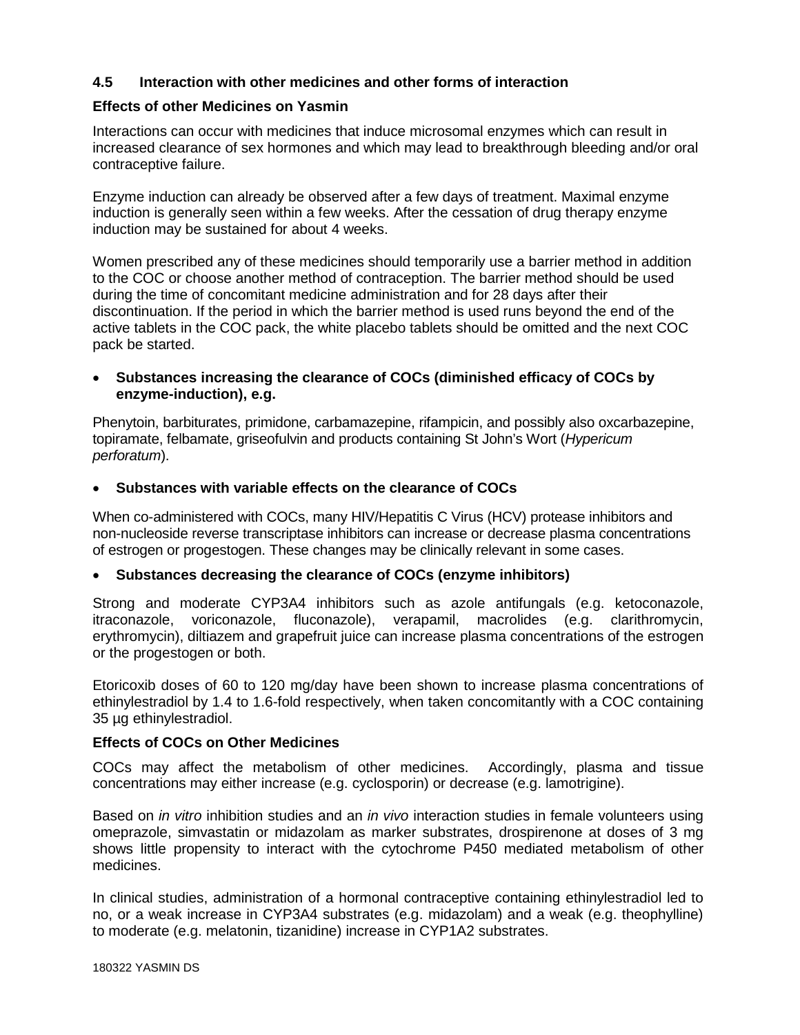## **4.5 Interaction with other medicines and other forms of interaction**

## **Effects of other Medicines on Yasmin**

Interactions can occur with medicines that induce microsomal enzymes which can result in increased clearance of sex hormones and which may lead to breakthrough bleeding and/or oral contraceptive failure.

Enzyme induction can already be observed after a few days of treatment. Maximal enzyme induction is generally seen within a few weeks. After the cessation of drug therapy enzyme induction may be sustained for about 4 weeks.

Women prescribed any of these medicines should temporarily use a barrier method in addition to the COC or choose another method of contraception. The barrier method should be used during the time of concomitant medicine administration and for 28 days after their discontinuation. If the period in which the barrier method is used runs beyond the end of the active tablets in the COC pack, the white placebo tablets should be omitted and the next COC pack be started.

## • **Substances increasing the clearance of COCs (diminished efficacy of COCs by enzyme-induction), e.g.**

Phenytoin, barbiturates, primidone, carbamazepine, rifampicin, and possibly also oxcarbazepine, topiramate, felbamate, griseofulvin and products containing St John's Wort (*Hypericum perforatum*).

## • **Substances with variable effects on the clearance of COCs**

When co-administered with COCs, many HIV/Hepatitis C Virus (HCV) protease inhibitors and non-nucleoside reverse transcriptase inhibitors can increase or decrease plasma concentrations of estrogen or progestogen. These changes may be clinically relevant in some cases.

## • **Substances decreasing the clearance of COCs (enzyme inhibitors)**

Strong and moderate CYP3A4 inhibitors such as azole antifungals (e.g. ketoconazole, itraconazole, voriconazole, fluconazole), verapamil, macrolides (e.g. clarithromycin, erythromycin), diltiazem and grapefruit juice can increase plasma concentrations of the estrogen or the progestogen or both.

Etoricoxib doses of 60 to 120 mg/day have been shown to increase plasma concentrations of ethinylestradiol by 1.4 to 1.6-fold respectively, when taken concomitantly with a COC containing 35 µg ethinylestradiol.

### **Effects of COCs on Other Medicines**

COCs may affect the metabolism of other medicines. Accordingly, plasma and tissue concentrations may either increase (e.g. cyclosporin) or decrease (e.g. lamotrigine).

Based on *in vitro* inhibition studies and an *in vivo* interaction studies in female volunteers using omeprazole, simvastatin or midazolam as marker substrates, drospirenone at doses of 3 mg shows little propensity to interact with the cytochrome P450 mediated metabolism of other medicines.

In clinical studies, administration of a hormonal contraceptive containing ethinylestradiol led to no, or a weak increase in CYP3A4 substrates (e.g. midazolam) and a weak (e.g. theophylline) to moderate (e.g. melatonin, tizanidine) increase in CYP1A2 substrates.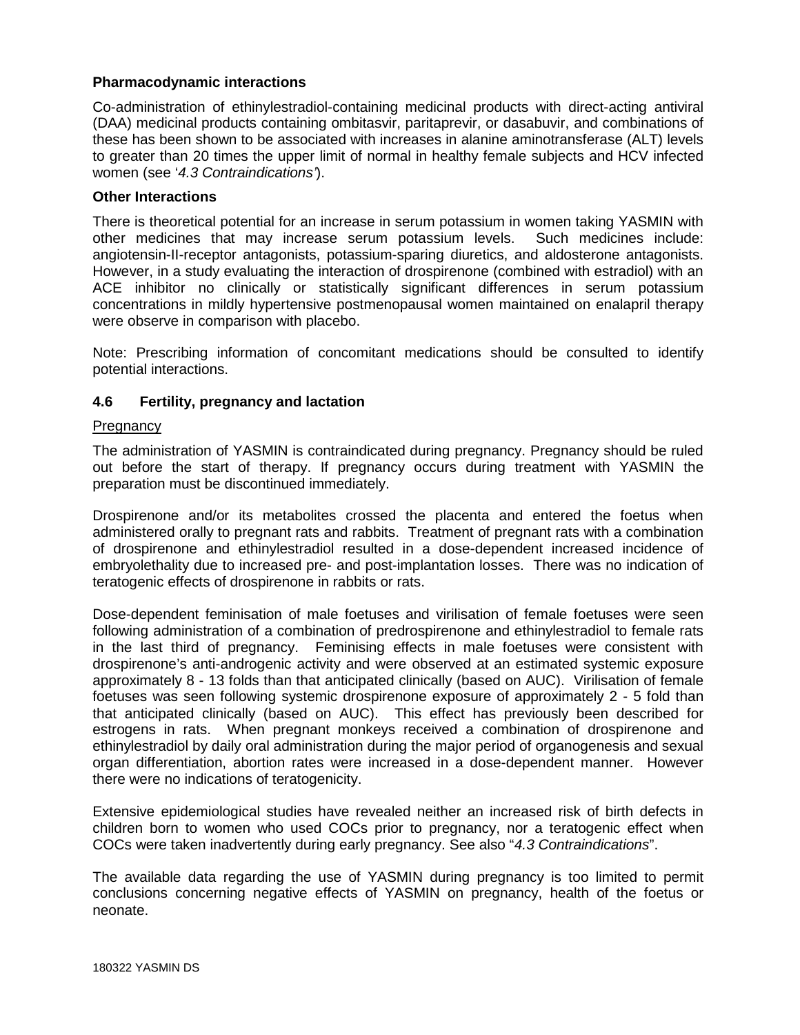## **Pharmacodynamic interactions**

Co-administration of ethinylestradiol-containing medicinal products with direct-acting antiviral (DAA) medicinal products containing ombitasvir, paritaprevir, or dasabuvir, and combinations of these has been shown to be associated with increases in alanine aminotransferase (ALT) levels to greater than 20 times the upper limit of normal in healthy female subjects and HCV infected women (see '*4.3 Contraindications'*).

### **Other Interactions**

There is theoretical potential for an increase in serum potassium in women taking YASMIN with other medicines that may increase serum potassium levels. Such medicines include: angiotensin-II-receptor antagonists, potassium-sparing diuretics, and aldosterone antagonists. However, in a study evaluating the interaction of drospirenone (combined with estradiol) with an ACE inhibitor no clinically or statistically significant differences in serum potassium concentrations in mildly hypertensive postmenopausal women maintained on enalapril therapy were observe in comparison with placebo.

Note: Prescribing information of concomitant medications should be consulted to identify potential interactions.

## **4.6 Fertility, pregnancy and lactation**

### **Pregnancy**

The administration of YASMIN is contraindicated during pregnancy. Pregnancy should be ruled out before the start of therapy. If pregnancy occurs during treatment with YASMIN the preparation must be discontinued immediately.

Drospirenone and/or its metabolites crossed the placenta and entered the foetus when administered orally to pregnant rats and rabbits. Treatment of pregnant rats with a combination of drospirenone and ethinylestradiol resulted in a dose-dependent increased incidence of embryolethality due to increased pre- and post-implantation losses. There was no indication of teratogenic effects of drospirenone in rabbits or rats.

Dose-dependent feminisation of male foetuses and virilisation of female foetuses were seen following administration of a combination of predrospirenone and ethinylestradiol to female rats in the last third of pregnancy. Feminising effects in male foetuses were consistent with drospirenone's anti-androgenic activity and were observed at an estimated systemic exposure approximately 8 - 13 folds than that anticipated clinically (based on AUC). Virilisation of female foetuses was seen following systemic drospirenone exposure of approximately 2 - 5 fold than that anticipated clinically (based on AUC). This effect has previously been described for estrogens in rats. When pregnant monkeys received a combination of drospirenone and ethinylestradiol by daily oral administration during the major period of organogenesis and sexual organ differentiation, abortion rates were increased in a dose-dependent manner. However there were no indications of teratogenicity.

Extensive epidemiological studies have revealed neither an increased risk of birth defects in children born to women who used COCs prior to pregnancy, nor a teratogenic effect when COCs were taken inadvertently during early pregnancy. See also "*4.3 Contraindications*".

The available data regarding the use of YASMIN during pregnancy is too limited to permit conclusions concerning negative effects of YASMIN on pregnancy, health of the foetus or neonate.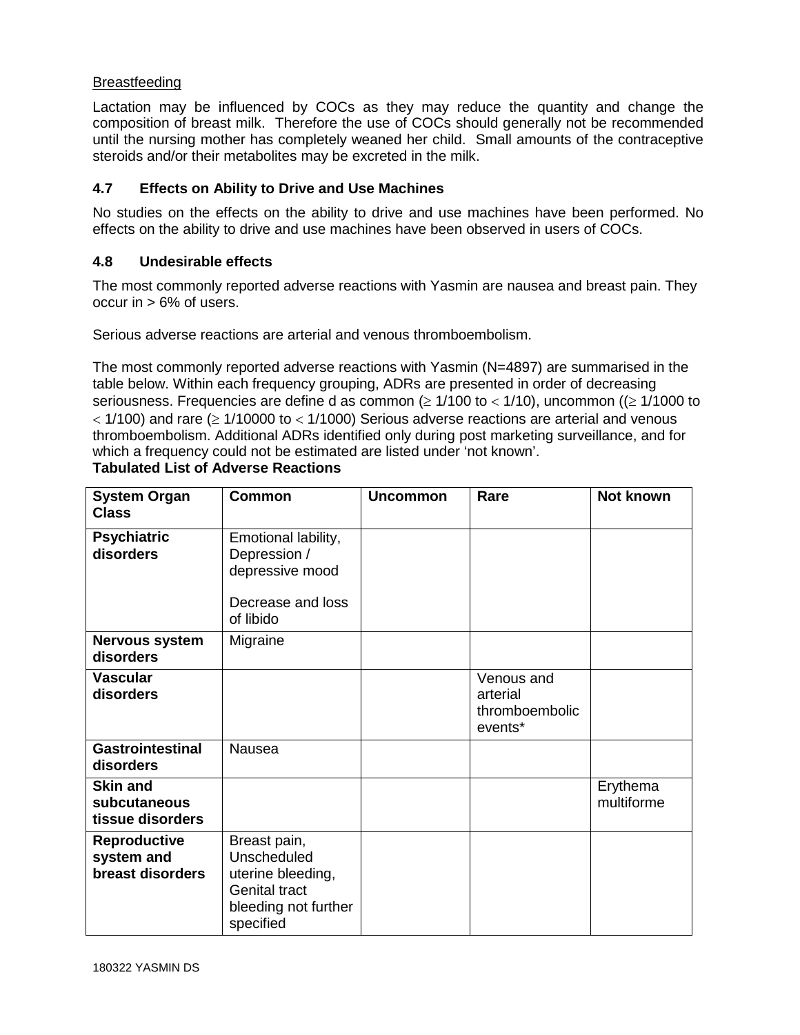## Breastfeeding

Lactation may be influenced by COCs as they may reduce the quantity and change the composition of breast milk. Therefore the use of COCs should generally not be recommended until the nursing mother has completely weaned her child. Small amounts of the contraceptive steroids and/or their metabolites may be excreted in the milk.

## **4.7 Effects on Ability to Drive and Use Machines**

No studies on the effects on the ability to drive and use machines have been performed. No effects on the ability to drive and use machines have been observed in users of COCs.

## **4.8 Undesirable effects**

The most commonly reported adverse reactions with Yasmin are nausea and breast pain. They occur in > 6% of users.

Serious adverse reactions are arterial and venous thromboembolism.

The most commonly reported adverse reactions with Yasmin (N=4897) are summarised in the table below. Within each frequency grouping, ADRs are presented in order of decreasing seriousness. Frequencies are define d as common ( $\geq 1/100$  to  $< 1/10$ ), uncommon (( $\geq 1/1000$  to  $<$  1/100) and rare ( $\ge$  1/10000 to  $<$  1/1000) Serious adverse reactions are arterial and venous thromboembolism. Additional ADRs identified only during post marketing surveillance, and for which a frequency could not be estimated are listed under 'not known'.

| <b>System Organ</b><br><b>Class</b>                   | <b>Common</b>                                                                                                 | <b>Uncommon</b> | Rare                                                | Not known              |
|-------------------------------------------------------|---------------------------------------------------------------------------------------------------------------|-----------------|-----------------------------------------------------|------------------------|
| <b>Psychiatric</b><br>disorders                       | Emotional lability,<br>Depression /<br>depressive mood<br>Decrease and loss<br>of libido                      |                 |                                                     |                        |
| <b>Nervous system</b><br>disorders                    | Migraine                                                                                                      |                 |                                                     |                        |
| <b>Vascular</b><br>disorders                          |                                                                                                               |                 | Venous and<br>arterial<br>thromboembolic<br>events* |                        |
| <b>Gastrointestinal</b><br>disorders                  | Nausea                                                                                                        |                 |                                                     |                        |
| <b>Skin and</b><br>subcutaneous<br>tissue disorders   |                                                                                                               |                 |                                                     | Erythema<br>multiforme |
| <b>Reproductive</b><br>system and<br>breast disorders | Breast pain,<br>Unscheduled<br>uterine bleeding,<br><b>Genital tract</b><br>bleeding not further<br>specified |                 |                                                     |                        |

**Tabulated List of Adverse Reactions**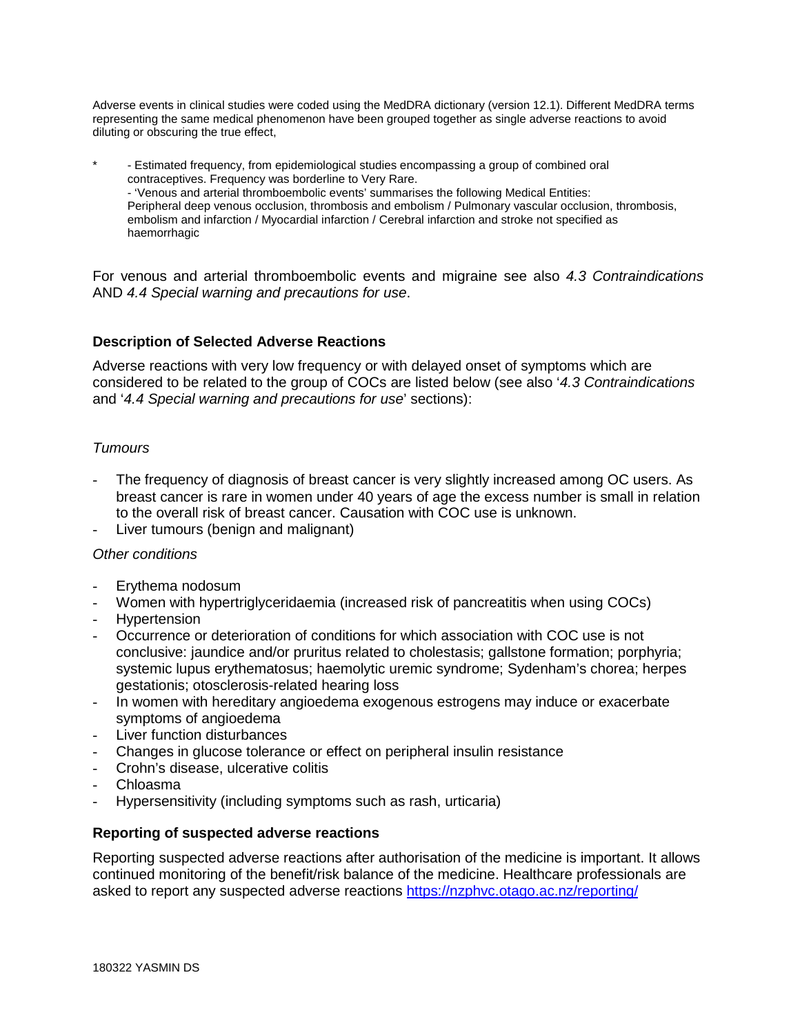Adverse events in clinical studies were coded using the MedDRA dictionary (version 12.1). Different MedDRA terms representing the same medical phenomenon have been grouped together as single adverse reactions to avoid diluting or obscuring the true effect,

- Estimated frequency, from epidemiological studies encompassing a group of combined oral contraceptives. Frequency was borderline to Very Rare. - 'Venous and arterial thromboembolic events' summarises the following Medical Entities: Peripheral deep venous occlusion, thrombosis and embolism / Pulmonary vascular occlusion, thrombosis, embolism and infarction / Myocardial infarction / Cerebral infarction and stroke not specified as haemorrhagic

For venous and arterial thromboembolic events and migraine see also *4.3 Contraindications* AND *4.4 Special warning and precautions for use*.

### **Description of Selected Adverse Reactions**

Adverse reactions with very low frequency or with delayed onset of symptoms which are considered to be related to the group of COCs are listed below (see also '*4.3 Contraindications* and '*4.4 Special warning and precautions for use*' sections):

#### *Tumours*

- The frequency of diagnosis of breast cancer is very slightly increased among OC users. As breast cancer is rare in women under 40 years of age the excess number is small in relation to the overall risk of breast cancer. Causation with COC use is unknown.
- Liver tumours (benign and malignant)

### *Other conditions*

- Erythema nodosum
- Women with hypertriglyceridaemia (increased risk of pancreatitis when using COCs)
- **Hypertension**
- Occurrence or deterioration of conditions for which association with COC use is not conclusive: jaundice and/or pruritus related to cholestasis; gallstone formation; porphyria; systemic lupus erythematosus; haemolytic uremic syndrome; Sydenham's chorea; herpes gestationis; otosclerosis-related hearing loss
- In women with hereditary angioedema exogenous estrogens may induce or exacerbate symptoms of angioedema
- Liver function disturbances
- Changes in glucose tolerance or effect on peripheral insulin resistance
- Crohn's disease, ulcerative colitis
- Chloasma
- Hypersensitivity (including symptoms such as rash, urticaria)

#### **Reporting of suspected adverse reactions**

Reporting suspected adverse reactions after authorisation of the medicine is important. It allows continued monitoring of the benefit/risk balance of the medicine. Healthcare professionals are asked to report any suspected adverse reactions<https://nzphvc.otago.ac.nz/reporting/>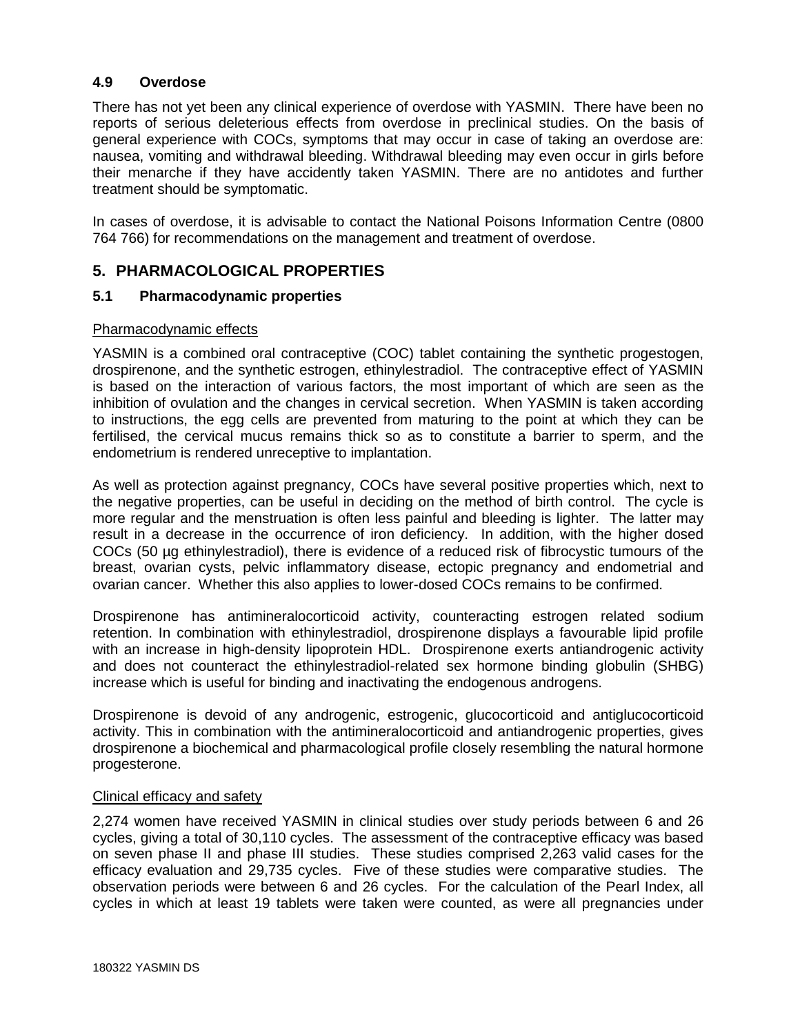## **4.9 Overdose**

There has not yet been any clinical experience of overdose with YASMIN. There have been no reports of serious deleterious effects from overdose in preclinical studies. On the basis of general experience with COCs, symptoms that may occur in case of taking an overdose are: nausea, vomiting and withdrawal bleeding. Withdrawal bleeding may even occur in girls before their menarche if they have accidently taken YASMIN. There are no antidotes and further treatment should be symptomatic.

In cases of overdose, it is advisable to contact the National Poisons Information Centre (0800 764 766) for recommendations on the management and treatment of overdose.

## **5. PHARMACOLOGICAL PROPERTIES**

## **5.1 Pharmacodynamic properties**

### Pharmacodynamic effects

YASMIN is a combined oral contraceptive (COC) tablet containing the synthetic progestogen, drospirenone, and the synthetic estrogen, ethinylestradiol. The contraceptive effect of YASMIN is based on the interaction of various factors, the most important of which are seen as the inhibition of ovulation and the changes in cervical secretion. When YASMIN is taken according to instructions, the egg cells are prevented from maturing to the point at which they can be fertilised, the cervical mucus remains thick so as to constitute a barrier to sperm, and the endometrium is rendered unreceptive to implantation.

As well as protection against pregnancy, COCs have several positive properties which, next to the negative properties, can be useful in deciding on the method of birth control. The cycle is more regular and the menstruation is often less painful and bleeding is lighter. The latter may result in a decrease in the occurrence of iron deficiency. In addition, with the higher dosed COCs (50 µg ethinylestradiol), there is evidence of a reduced risk of fibrocystic tumours of the breast, ovarian cysts, pelvic inflammatory disease, ectopic pregnancy and endometrial and ovarian cancer. Whether this also applies to lower-dosed COCs remains to be confirmed.

Drospirenone has antimineralocorticoid activity, counteracting estrogen related sodium retention. In combination with ethinylestradiol, drospirenone displays a favourable lipid profile with an increase in high-density lipoprotein HDL. Drospirenone exerts antiandrogenic activity and does not counteract the ethinylestradiol-related sex hormone binding globulin (SHBG) increase which is useful for binding and inactivating the endogenous androgens.

Drospirenone is devoid of any androgenic, estrogenic, glucocorticoid and antiglucocorticoid activity. This in combination with the antimineralocorticoid and antiandrogenic properties, gives drospirenone a biochemical and pharmacological profile closely resembling the natural hormone progesterone.

### Clinical efficacy and safety

2,274 women have received YASMIN in clinical studies over study periods between 6 and 26 cycles, giving a total of 30,110 cycles. The assessment of the contraceptive efficacy was based on seven phase II and phase III studies. These studies comprised 2,263 valid cases for the efficacy evaluation and 29,735 cycles. Five of these studies were comparative studies. The observation periods were between 6 and 26 cycles. For the calculation of the Pearl Index, all cycles in which at least 19 tablets were taken were counted, as were all pregnancies under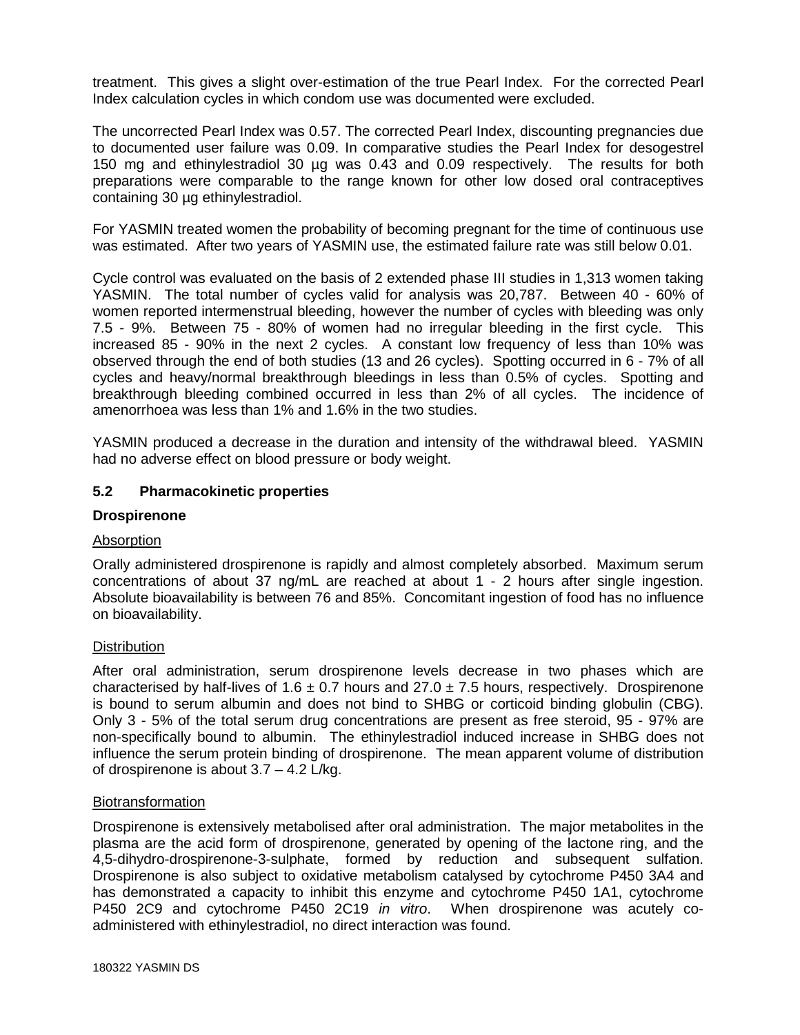treatment. This gives a slight over-estimation of the true Pearl Index. For the corrected Pearl Index calculation cycles in which condom use was documented were excluded.

The uncorrected Pearl Index was 0.57. The corrected Pearl Index, discounting pregnancies due to documented user failure was 0.09. In comparative studies the Pearl Index for desogestrel 150 mg and ethinylestradiol 30 µg was 0.43 and 0.09 respectively. The results for both preparations were comparable to the range known for other low dosed oral contraceptives containing 30 µg ethinylestradiol.

For YASMIN treated women the probability of becoming pregnant for the time of continuous use was estimated. After two years of YASMIN use, the estimated failure rate was still below 0.01.

Cycle control was evaluated on the basis of 2 extended phase III studies in 1,313 women taking YASMIN. The total number of cycles valid for analysis was 20,787. Between 40 - 60% of women reported intermenstrual bleeding, however the number of cycles with bleeding was only 7.5 - 9%. Between 75 - 80% of women had no irregular bleeding in the first cycle. This increased 85 - 90% in the next 2 cycles. A constant low frequency of less than 10% was observed through the end of both studies (13 and 26 cycles). Spotting occurred in 6 - 7% of all cycles and heavy/normal breakthrough bleedings in less than 0.5% of cycles. Spotting and breakthrough bleeding combined occurred in less than 2% of all cycles. The incidence of amenorrhoea was less than 1% and 1.6% in the two studies.

YASMIN produced a decrease in the duration and intensity of the withdrawal bleed. YASMIN had no adverse effect on blood pressure or body weight.

## **5.2 Pharmacokinetic properties**

#### **Drospirenone**

#### Absorption

Orally administered drospirenone is rapidly and almost completely absorbed. Maximum serum concentrations of about 37 ng/mL are reached at about 1 - 2 hours after single ingestion. Absolute bioavailability is between 76 and 85%. Concomitant ingestion of food has no influence on bioavailability.

#### **Distribution**

After oral administration, serum drospirenone levels decrease in two phases which are characterised by half-lives of 1.6  $\pm$  0.7 hours and 27.0  $\pm$  7.5 hours, respectively. Drospirenone is bound to serum albumin and does not bind to SHBG or corticoid binding globulin (CBG). Only 3 - 5% of the total serum drug concentrations are present as free steroid, 95 - 97% are non-specifically bound to albumin. The ethinylestradiol induced increase in SHBG does not influence the serum protein binding of drospirenone. The mean apparent volume of distribution of drospirenone is about 3.7 – 4.2 L/kg.

### Biotransformation

Drospirenone is extensively metabolised after oral administration. The major metabolites in the plasma are the acid form of drospirenone, generated by opening of the lactone ring, and the 4,5-dihydro-drospirenone-3-sulphate, formed by reduction and subsequent sulfation. Drospirenone is also subject to oxidative metabolism catalysed by cytochrome P450 3A4 and has demonstrated a capacity to inhibit this enzyme and cytochrome P450 1A1, cytochrome P450 2C9 and cytochrome P450 2C19 *in vitro*. When drospirenone was acutely coadministered with ethinylestradiol, no direct interaction was found.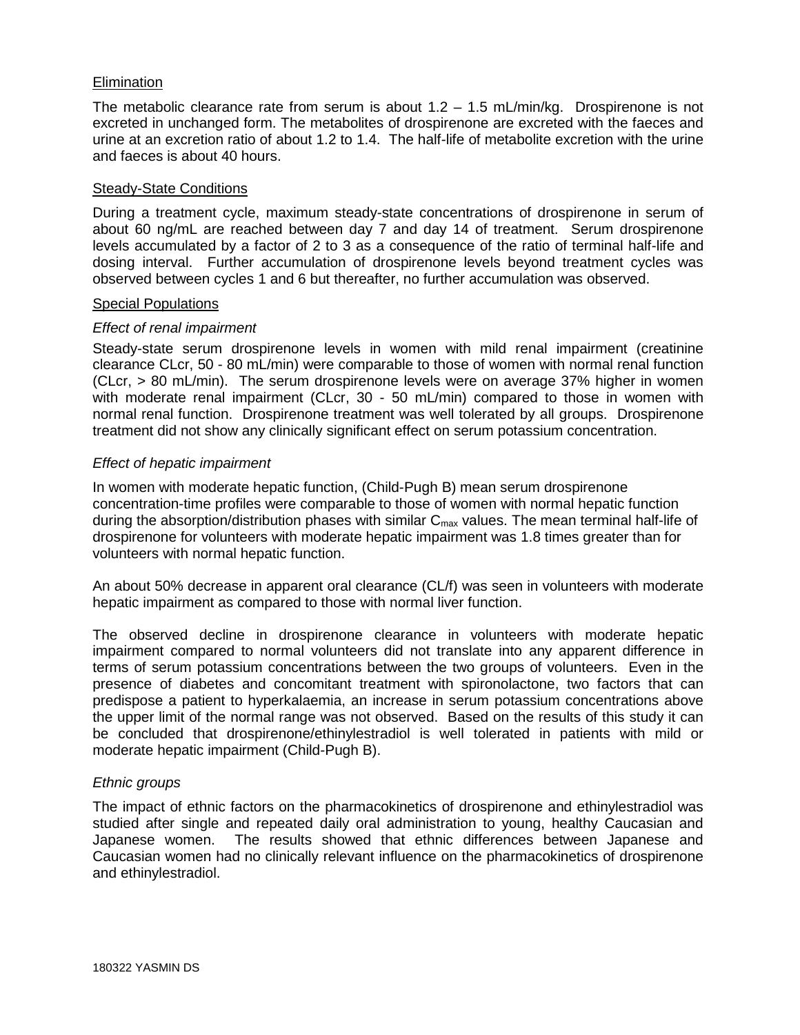## **Elimination**

The metabolic clearance rate from serum is about  $1.2 - 1.5$  mL/min/kg. Drospirenone is not excreted in unchanged form. The metabolites of drospirenone are excreted with the faeces and urine at an excretion ratio of about 1.2 to 1.4. The half-life of metabolite excretion with the urine and faeces is about 40 hours.

### Steady-State Conditions

During a treatment cycle, maximum steady-state concentrations of drospirenone in serum of about 60 ng/mL are reached between day 7 and day 14 of treatment. Serum drospirenone levels accumulated by a factor of 2 to 3 as a consequence of the ratio of terminal half-life and dosing interval. Further accumulation of drospirenone levels beyond treatment cycles was observed between cycles 1 and 6 but thereafter, no further accumulation was observed.

### Special Populations

## *Effect of renal impairment*

Steady-state serum drospirenone levels in women with mild renal impairment (creatinine clearance CLcr, 50 - 80 mL/min) were comparable to those of women with normal renal function (CLcr, > 80 mL/min). The serum drospirenone levels were on average 37% higher in women with moderate renal impairment (CLcr, 30 - 50 mL/min) compared to those in women with normal renal function. Drospirenone treatment was well tolerated by all groups. Drospirenone treatment did not show any clinically significant effect on serum potassium concentration.

## *Effect of hepatic impairment*

In women with moderate hepatic function, (Child-Pugh B) mean serum drospirenone concentration-time profiles were comparable to those of women with normal hepatic function during the absorption/distribution phases with similar  $C_{\text{max}}$  values. The mean terminal half-life of drospirenone for volunteers with moderate hepatic impairment was 1.8 times greater than for volunteers with normal hepatic function.

An about 50% decrease in apparent oral clearance (CL/f) was seen in volunteers with moderate hepatic impairment as compared to those with normal liver function.

The observed decline in drospirenone clearance in volunteers with moderate hepatic impairment compared to normal volunteers did not translate into any apparent difference in terms of serum potassium concentrations between the two groups of volunteers. Even in the presence of diabetes and concomitant treatment with spironolactone, two factors that can predispose a patient to hyperkalaemia, an increase in serum potassium concentrations above the upper limit of the normal range was not observed. Based on the results of this study it can be concluded that drospirenone/ethinylestradiol is well tolerated in patients with mild or moderate hepatic impairment (Child-Pugh B).

### *Ethnic groups*

The impact of ethnic factors on the pharmacokinetics of drospirenone and ethinylestradiol was studied after single and repeated daily oral administration to young, healthy Caucasian and Japanese women. The results showed that ethnic differences between Japanese and Caucasian women had no clinically relevant influence on the pharmacokinetics of drospirenone and ethinylestradiol.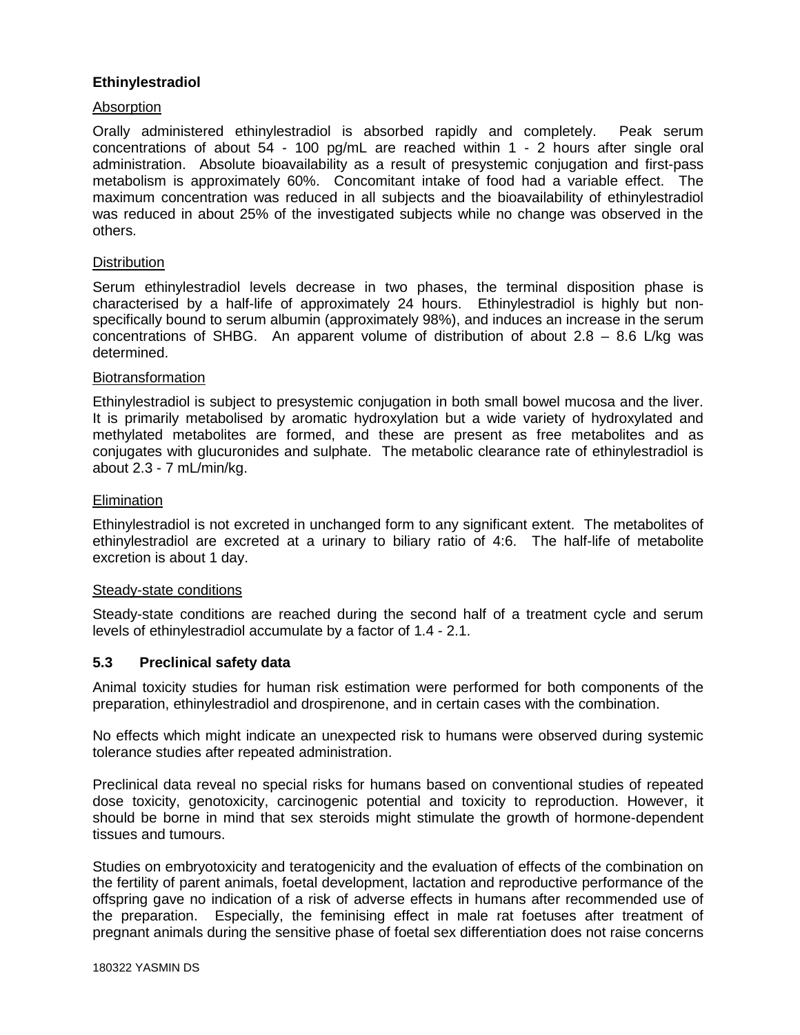## **Ethinylestradiol**

### Absorption

Orally administered ethinylestradiol is absorbed rapidly and completely. Peak serum concentrations of about 54 - 100 pg/mL are reached within 1 - 2 hours after single oral administration. Absolute bioavailability as a result of presystemic conjugation and first-pass metabolism is approximately 60%. Concomitant intake of food had a variable effect. The maximum concentration was reduced in all subjects and the bioavailability of ethinylestradiol was reduced in about 25% of the investigated subjects while no change was observed in the others.

### **Distribution**

Serum ethinylestradiol levels decrease in two phases, the terminal disposition phase is characterised by a half-life of approximately 24 hours. Ethinylestradiol is highly but nonspecifically bound to serum albumin (approximately 98%), and induces an increase in the serum concentrations of SHBG. An apparent volume of distribution of about  $2.8 - 8.6$  L/kg was determined.

#### Biotransformation

Ethinylestradiol is subject to presystemic conjugation in both small bowel mucosa and the liver. It is primarily metabolised by aromatic hydroxylation but a wide variety of hydroxylated and methylated metabolites are formed, and these are present as free metabolites and as conjugates with glucuronides and sulphate. The metabolic clearance rate of ethinylestradiol is about 2.3 - 7 mL/min/kg.

#### **Elimination**

Ethinylestradiol is not excreted in unchanged form to any significant extent. The metabolites of ethinylestradiol are excreted at a urinary to biliary ratio of 4:6. The half-life of metabolite excretion is about 1 day.

#### Steady-state conditions

Steady-state conditions are reached during the second half of a treatment cycle and serum levels of ethinylestradiol accumulate by a factor of 1.4 - 2.1.

### **5.3 Preclinical safety data**

Animal toxicity studies for human risk estimation were performed for both components of the preparation, ethinylestradiol and drospirenone, and in certain cases with the combination.

No effects which might indicate an unexpected risk to humans were observed during systemic tolerance studies after repeated administration.

Preclinical data reveal no special risks for humans based on conventional studies of repeated dose toxicity, genotoxicity, carcinogenic potential and toxicity to reproduction. However, it should be borne in mind that sex steroids might stimulate the growth of hormone-dependent tissues and tumours.

Studies on embryotoxicity and teratogenicity and the evaluation of effects of the combination on the fertility of parent animals, foetal development, lactation and reproductive performance of the offspring gave no indication of a risk of adverse effects in humans after recommended use of the preparation. Especially, the feminising effect in male rat foetuses after treatment of pregnant animals during the sensitive phase of foetal sex differentiation does not raise concerns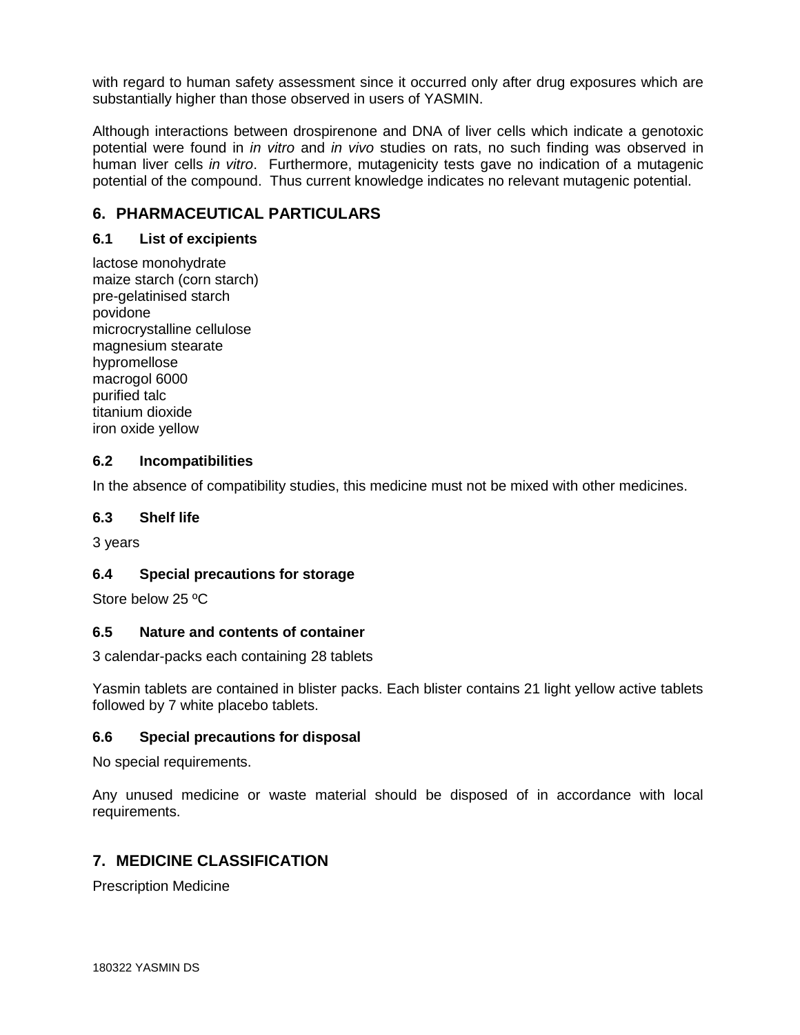with regard to human safety assessment since it occurred only after drug exposures which are substantially higher than those observed in users of YASMIN.

Although interactions between drospirenone and DNA of liver cells which indicate a genotoxic potential were found in *in vitro* and *in vivo* studies on rats, no such finding was observed in human liver cells *in vitro*. Furthermore, mutagenicity tests gave no indication of a mutagenic potential of the compound. Thus current knowledge indicates no relevant mutagenic potential.

# **6. PHARMACEUTICAL PARTICULARS**

## **6.1 List of excipients**

lactose monohydrate maize starch (corn starch) pre-gelatinised starch povidone microcrystalline cellulose magnesium stearate hypromellose macrogol 6000 purified talc titanium dioxide iron oxide yellow

## **6.2 Incompatibilities**

In the absence of compatibility studies, this medicine must not be mixed with other medicines.

### **6.3 Shelf life**

3 years

## **6.4 Special precautions for storage**

Store below 25 ºC

### **6.5 Nature and contents of container**

3 calendar-packs each containing 28 tablets

Yasmin tablets are contained in blister packs. Each blister contains 21 light yellow active tablets followed by 7 white placebo tablets.

### **6.6 Special precautions for disposal**

No special requirements.

Any unused medicine or waste material should be disposed of in accordance with local requirements.

# **7. MEDICINE CLASSIFICATION**

Prescription Medicine